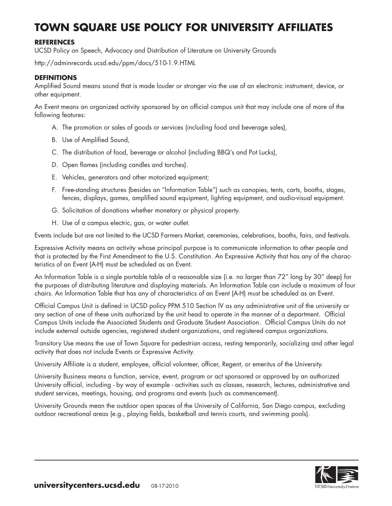# **TOWN SQUARE USE POLICY FOR UNIVERSITY AFFILIATES**

## **REFERENCES**

UCSD Policy on Speech, Advocacy and Distribution of Literature on University Grounds

http://adminrecords.ucsd.edu/ppm/docs/510-1.9.HTML

#### **DEFINITIONS**

Amplified Sound means sound that is made louder or stronger via the use of an electronic instrument, device, or other equipment.

An Event means an organized activity sponsored by an official campus unit that may include one of more of the following features:

- A. The promotion or sales of goods or services (including food and beverage sales),
- B. Use of Amplified Sound,
- C. The distribution of food, beverage or alcohol (including BBQ's and Pot Lucks),
- D. Open flames (including candles and torches).
- E. Vehicles, generators and other motorized equipment;
- F. Free-standing structures (besides an "lnformation Table") such as canopies, tents, carts, booths, stages, fences, displays, games, amplified sound equipment, lighting equipment, and audio-visual equipment.
- G. Solicitation of donations whether monetary or physical property.
- H. Use of a campus electric, gas, or water outlet.

Events include but are not limited to the UCSD Farmers Market, ceremonies, celebrations, booths, fairs, and festivals.

Expressive Activity means an activity whose principal purpose is to communicate information to other people and that is protected by the First Amendment to the U.S. Constitution. An Expressive Activity that has any of the characteristics of an Event (A-H) must be scheduled as an Event.

An Information Table is a single portable table of a reasonable size (i.e. no larger than 72" long by 30" deep) for the purposes of distributing literature and displaying materials. An lnformation Table can include a maximum of four chairs. An lnformation Table that has any of characteristics of an Event (A-H) must be scheduled as an Event.

Official Campus Unit is defined in UCSD policy PPM 510 Section IV as any administrative unit of the university or any section of one of these units authorized by the unit head to operate in the manner of a department. Official Campus Units include the Associated Students and Graduate Student Association. Official Campus Units do not include external outside agencies, registered student organizations, and registered campus organizations.

Transitory Use means the use of Town Square for pedestrian access, resting temporarily, socializing and other legal activity that does not include Events or Expressive Activity.

University Affiliate is a student, employee, official volunteer, officer, Regent, or emeritus of the University.

University Business means a function, service, event, program or act sponsored or approved by an authorized University official, including - by way of example - activities such as classes, research, lectures, administrative and student services, meetings, housing, and programs and events (such as commencement).

University Grounds mean the outdoor open spaces of the University of California, San Diego campus, excluding outdoor recreational areas (e.g., playing fields, basketball and tennis courts, and swimming pools).

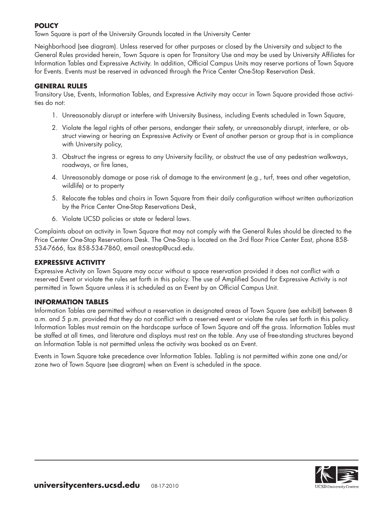### **POLICY**

Town Square is part of the University Grounds located in the University Center

Neighborhood (see diagram). Unless reserved for other purposes or closed by the University and subject to the General Rules provided herein, Town Square is open for Transitory Use and may be used by University Affiliates for Information Tables and Expressive Activity. In addition, Official Campus Units may reserve portions of Town Square for Events. Events must be reserved in advanced through the Price Center One-Stop Reservation Desk.

## **GENERAL RULES**

Transitory Use, Events, Information Tables, and Expressive Activity may occur in Town Square provided those activities do not:

- 1. Unreasonably disrupt or interfere with University Business, including Events scheduled in Town Square,
- 2. Violate the legal rights of other persons, endanger their safety, or unreasonably disrupt, interfere, or obstruct viewing or hearing an Expressive Activity or Event of another person or group that is in compliance with University policy,
- 3. Obstruct the ingress or egress to any University facility, or obstruct the use of any pedestrian walkways, roadways, or fire lanes,
- 4. Unreasonably damage or pose risk of damage to the environment (e.g., turf, trees and other vegetation, wildlife) or to property
- 5. Relocate the tables and chairs in Town Square from their daily configuration without written authorization by the Price Center One-Stop Reservations Desk,
- 6. Violate UCSD policies or state or federal laws.

Complaints about an activity in Town Square that may not comply with the General Rules should be directed to the Price Center One-Stop Reservations Desk. The One-Stop is located on the 3rd floor Price Center East, phone 858- 534-7666, fax 858-534-7860, email onestop@ucsd.edu.

#### **EXPRESSIVE ACTIVITY**

Expressive Activity on Town Square may occur without a space reservation provided it does not conflict with a reserved Event or violate the rules set forth in this policy. The use of Amplified Sound for Expressive Activity is not permitted in Town Square unless it is scheduled as an Event by an Official Campus Unit.

#### **INFORMATION TABLES**

Information Tables are permitted without a reservation in designated areas of Town Square (see exhibit) between 8 a.m. and 5 p.m. provided that they do not conflict with a reserved event or violate the rules set forth in this policy. Information Tables must remain on the hardscape surface of Town Square and off the grass. lnformation Tables must be staffed at all times, and literature and displays must rest on the table. Any use of free-standing structures beyond an lnformation Table is not permitted unless the activity was booked as an Event.

Events in Town Square take precedence over lnformation Tables. Tabling is not permitted within zone one and/or zone two of Town Square (see diagram) when an Event is scheduled in the space.

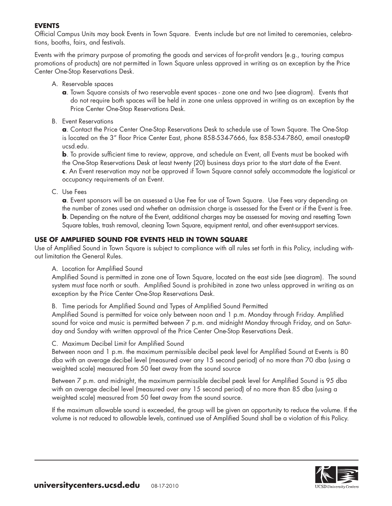## **EVENTS**

Official Campus Units may book Events in Town Square. Events include but are not limited to ceremonies, celebrations, booths, fairs, and festivals.

Events with the primary purpose of promoting the goods and services of for-profit vendors (e.g., touring campus promotions of products) are not permitted in Town Square unless approved in writing as an exception by the Price Center One-Stop Reservations Desk.

- A. Reservable spaces
	- **a**. Town Square consists of two reservable event spaces zone one and two (see diagram). Events that do not require both spaces will be held in zone one unless approved in writing as an exception by the Price Center One-Stop Reservations Desk.
- B. Event Reservations

 **a**. Contact the Price Center One-Stop Reservations Desk to schedule use of Town Square. The One-Stop is located on the 3" floor Price Center East, phone 858-534-7666, fax 858-534-7860, email onestop@ ucsd.edu.

**b**. To provide sufficient time to review, approve, and schedule an Event, all Events must be booked with the One-Stop Reservations Desk at least twenty (20) business days prior to the start date of the Event. **c**. An Event reservation may not be approved if Town Square cannot safely accommodate the logistical or occupancy requirements of an Event.

C. Use Fees

 **a**. Event sponsors will be an assessed a Use Fee for use of Town Square. Use Fees vary depending on the number of zones used and whether an admission charge is assessed for the Event or if the Event is free. **b**. Depending on the nature of the Event, additional charges may be assessed for moving and resetting Town Square tables, trash removal, cleaning Town Square, equipment rental, and other event-support services.

#### **USE OF AMPLIFIED SOUND FOR EVENTS HELD IN TOWN SQUARE**

Use of Amplified Sound in Town Square is subject to compliance with all rules set forth in this Policy, including without limitation the General Rules.

A. Location for Amplified Sound

Amplified Sound is permitted in zone one of Town Square, located on the east side (see diagram). The sound system must face north or south. Amplified Sound is prohibited in zone two unless approved in writing as an exception by the Price Center One-Stop Reservations Desk.

B. Time periods for Amplified Sound and Types of Amplified Sound Permitted

Amplified Sound is permitted for voice only between noon and 1 p.m. Monday through Friday. Amplified sound for voice and music is permitted between 7 p.m. and midnight Monday through Friday, and on Saturday and Sunday with written approval of the Price Center One-Stop Reservations Desk.

#### C. Maximum Decibel Limit for Amplified Sound

 Between noon and 1 p.m. the maximum permissible decibel peak level for Amplified Sound at Events is 80 dba with an average decibel level (measured over any 15 second period) of no more than 70 dba (using a weighted scale) measured from 50 feet away from the sound source

 Between 7 p.m. and midnight, the maximum permissible decibel peak level for Amplified Sound is 95 dba with an average decibel level (measured over any 15 second period) of no more than 85 dba (using a weighted scale) measured from 50 feet away from the sound source.

 If the maximum allowable sound is exceeded, the group will be given an opportunity to reduce the volume. If the volume is not reduced to allowable levels, continued use of Amplified Sound shall be a violation of this Policy.